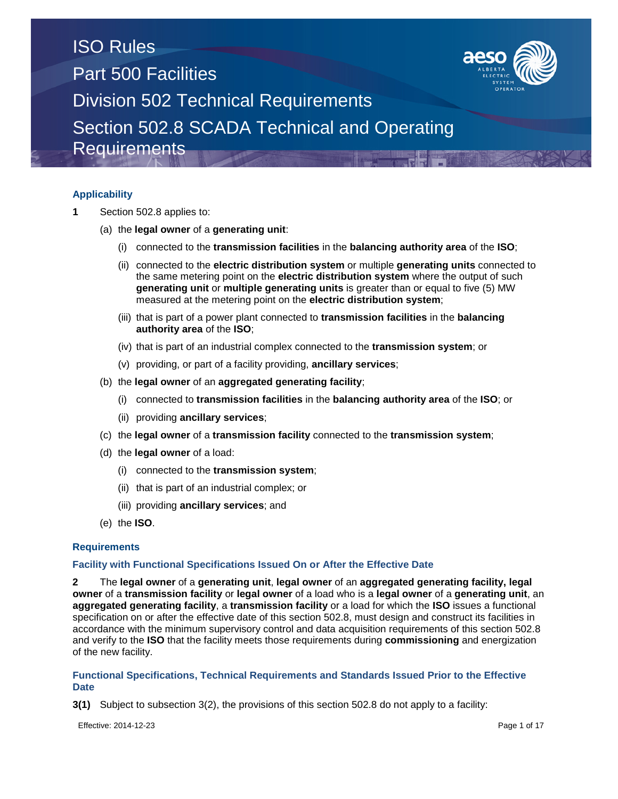

## **Applicability**

- **1** Section 502.8 applies to:
	- (a) the **legal owner** of a **generating unit**:
		- (i) connected to the **transmission facilities** in the **balancing authority area** of the **ISO**;
		- (ii) connected to the **electric distribution system** or multiple **generating units** connected to the same metering point on the **electric distribution system** where the output of such **generating unit** or **multiple generating units** is greater than or equal to five (5) MW measured at the metering point on the **electric distribution system**;
		- (iii) that is part of a power plant connected to **transmission facilities** in the **balancing authority area** of the **ISO**;
		- (iv) that is part of an industrial complex connected to the **transmission system**; or
		- (v) providing, or part of a facility providing, **ancillary services**;
	- (b) the **legal owner** of an **aggregated generating facility**;
		- (i) connected to **transmission facilities** in the **balancing authority area** of the **ISO**; or
		- (ii) providing **ancillary services**;
	- (c) the **legal owner** of a **transmission facility** connected to the **transmission system**;
	- (d) the **legal owner** of a load:
		- (i) connected to the **transmission system**;
		- (ii) that is part of an industrial complex; or
		- (iii) providing **ancillary services**; and
	- (e) the **ISO**.

### **Requirements**

### **Facility with Functional Specifications Issued On or After the Effective Date**

**2** The **legal owner** of a **generating unit**, **legal owner** of an **aggregated generating facility, legal owner** of a **transmission facility** or **legal owner** of a load who is a **legal owner** of a **generating unit**, an **aggregated generating facility**, a **transmission facility** or a load for which the **ISO** issues a functional specification on or after the effective date of this section 502.8, must design and construct its facilities in accordance with the minimum supervisory control and data acquisition requirements of this section 502.8 and verify to the **ISO** that the facility meets those requirements during **commissioning** and energization of the new facility.

### **Functional Specifications, Technical Requirements and Standards Issued Prior to the Effective Date**

**3(1)** Subject to subsection 3(2), the provisions of this section 502.8 do not apply to a facility:

Effective: 2014-12-23 Page 1 of 17

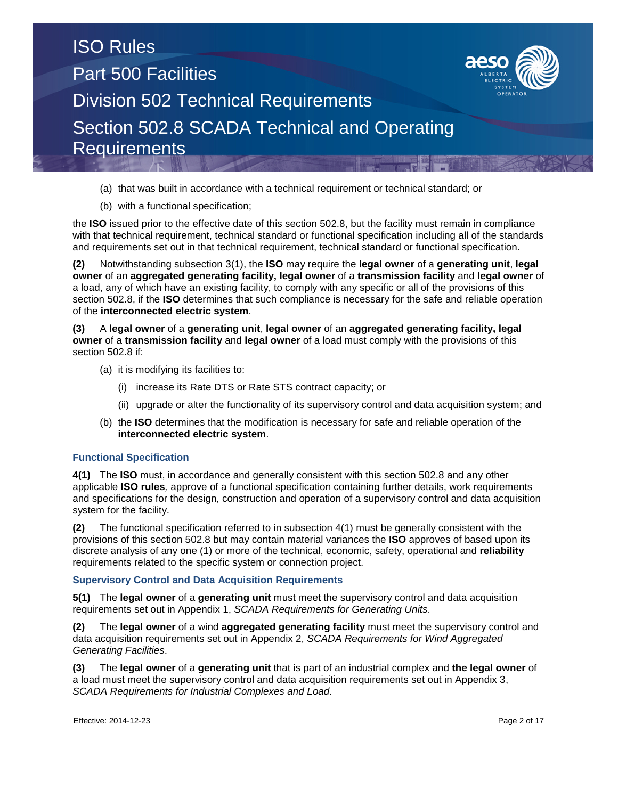

- (a) that was built in accordance with a technical requirement or technical standard; or
- (b) with a functional specification;

the **ISO** issued prior to the effective date of this section 502.8, but the facility must remain in compliance with that technical requirement, technical standard or functional specification including all of the standards and requirements set out in that technical requirement, technical standard or functional specification.

**(2)** Notwithstanding subsection 3(1), the **ISO** may require the **legal owner** of a **generating unit**, **legal owner** of an **aggregated generating facility, legal owner** of a **transmission facility** and **legal owner** of a load, any of which have an existing facility, to comply with any specific or all of the provisions of this section 502.8, if the **ISO** determines that such compliance is necessary for the safe and reliable operation of the **interconnected electric system**.

**(3)** A **legal owner** of a **generating unit**, **legal owner** of an **aggregated generating facility, legal owner** of a **transmission facility** and **legal owner** of a load must comply with the provisions of this section 502.8 if:

- (a) it is modifying its facilities to:
	- (i) increase its Rate DTS or Rate STS contract capacity; or
	- (ii) upgrade or alter the functionality of its supervisory control and data acquisition system; and
- (b) the **ISO** determines that the modification is necessary for safe and reliable operation of the **interconnected electric system**.

### **Functional Specification**

**4(1)** The **ISO** must, in accordance and generally consistent with this section 502.8 and any other applicable **ISO rules***,* approve of a functional specification containing further details, work requirements and specifications for the design, construction and operation of a supervisory control and data acquisition system for the facility.

**(2)** The functional specification referred to in subsection 4(1) must be generally consistent with the provisions of this section 502.8 but may contain material variances the **ISO** approves of based upon its discrete analysis of any one (1) or more of the technical, economic, safety, operational and **reliability**  requirements related to the specific system or connection project.

### **Supervisory Control and Data Acquisition Requirements**

**5(1)** The **legal owner** of a **generating unit** must meet the supervisory control and data acquisition requirements set out in Appendix 1, *SCADA Requirements for Generating Units*.

**(2)** The **legal owner** of a wind **aggregated generating facility** must meet the supervisory control and data acquisition requirements set out in Appendix 2, *SCADA Requirements for Wind Aggregated Generating Facilities*.

**(3)** The **legal owner** of a **generating unit** that is part of an industrial complex and **the legal owner** of a load must meet the supervisory control and data acquisition requirements set out in Appendix 3, *SCADA Requirements for Industrial Complexes and Load*.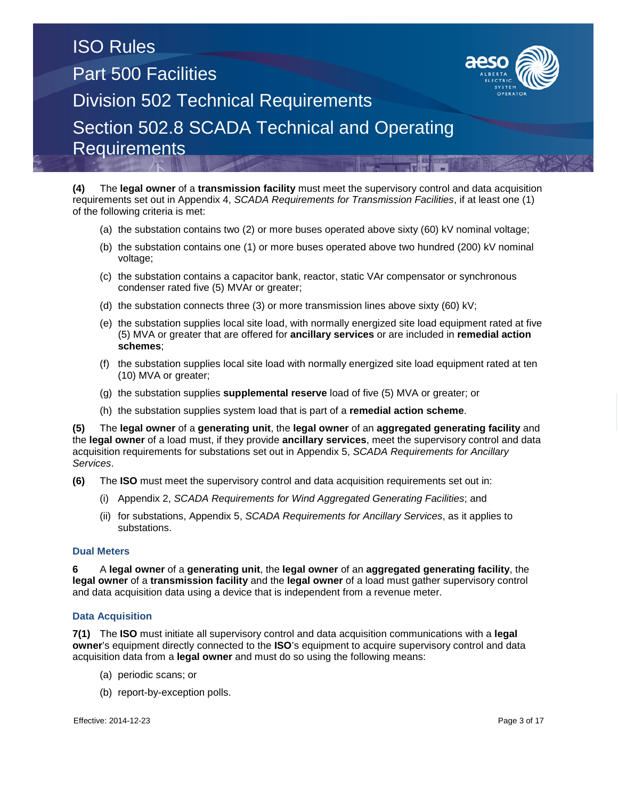

**(4)** The **legal owner** of a **transmission facility** must meet the supervisory control and data acquisition requirements set out in Appendix 4, *SCADA Requirements for Transmission Facilities*, if at least one (1) of the following criteria is met:

- (a) the substation contains two (2) or more buses operated above sixty (60) kV nominal voltage;
- (b) the substation contains one (1) or more buses operated above two hundred (200) kV nominal voltage;
- (c) the substation contains a capacitor bank, reactor, static VAr compensator or synchronous condenser rated five (5) MVAr or greater;
- (d) the substation connects three (3) or more transmission lines above sixty (60) kV;
- (e) the substation supplies local site load, with normally energized site load equipment rated at five (5) MVA or greater that are offered for **ancillary services** or are included in **remedial action schemes**;
- (f) the substation supplies local site load with normally energized site load equipment rated at ten (10) MVA or greater;
- (g) the substation supplies **supplemental reserve** load of five (5) MVA or greater; or
- (h) the substation supplies system load that is part of a **remedial action scheme**.

**(5)** The **legal owner** of a **generating unit**, the **legal owner** of an **aggregated generating facility** and the **legal owner** of a load must, if they provide **ancillary services**, meet the supervisory control and data acquisition requirements for substations set out in Appendix 5, *SCADA Requirements for Ancillary Services*.

- **(6)** The **ISO** must meet the supervisory control and data acquisition requirements set out in:
	- (i) Appendix 2, *SCADA Requirements for Wind Aggregated Generating Facilities*; and
	- (ii) for substations, Appendix 5, *SCADA Requirements for Ancillary Services*, as it applies to substations.

### **Dual Meters**

**6** A **legal owner** of a **generating unit**, the **legal owner** of an **aggregated generating facility**, the **legal owner** of a **transmission facility** and the **legal owner** of a load must gather supervisory control and data acquisition data using a device that is independent from a revenue meter.

### **Data Acquisition**

**7(1)** The **ISO** must initiate all supervisory control and data acquisition communications with a **legal owner**'s equipment directly connected to the **ISO**'s equipment to acquire supervisory control and data acquisition data from a **legal owner** and must do so using the following means:

- (a) periodic scans; or
- (b) report-by-exception polls.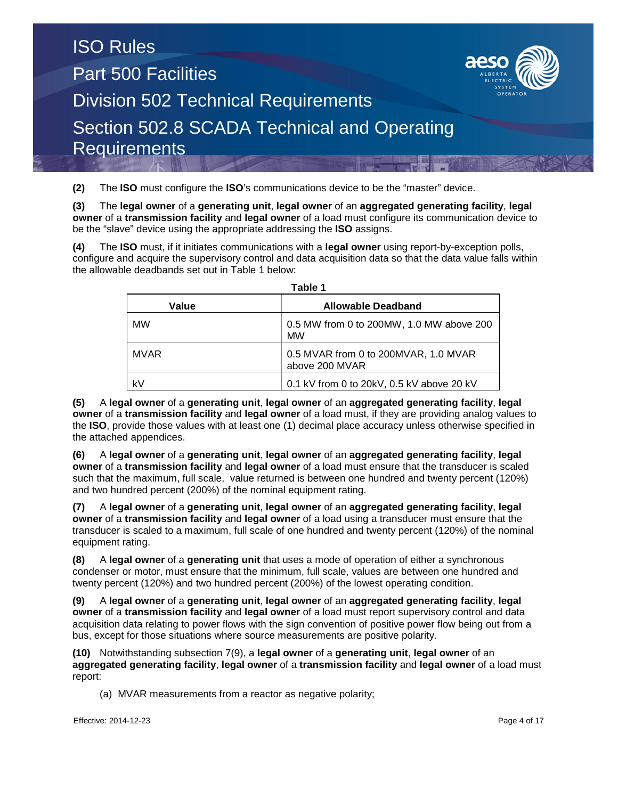**(2)** The **ISO** must configure the **ISO**'s communications device to be the "master" device.

**(3)** The **legal owner** of a **generating unit**, **legal owner** of an **aggregated generating facility**, **legal owner** of a **transmission facility** and **legal owner** of a load must configure its communication device to be the "slave" device using the appropriate addressing the **ISO** assigns.

**(4)** The **ISO** must, if it initiates communications with a **legal owner** using report-by-exception polls, configure and acquire the supervisory control and data acquisition data so that the data value falls within the allowable deadbands set out in Table 1 below:

| l avic l<br>Value<br><b>Allowable Deadband</b> |                                                        |  |  |  |  |  |  |  |  |  |
|------------------------------------------------|--------------------------------------------------------|--|--|--|--|--|--|--|--|--|
|                                                |                                                        |  |  |  |  |  |  |  |  |  |
| <b>MW</b>                                      | 0.5 MW from 0 to 200MW, 1.0 MW above 200<br><b>MW</b>  |  |  |  |  |  |  |  |  |  |
| <b>MVAR</b>                                    | 0.5 MVAR from 0 to 200MVAR, 1.0 MVAR<br>above 200 MVAR |  |  |  |  |  |  |  |  |  |
| k٧                                             | 0.1 kV from 0 to 20kV, 0.5 kV above 20 kV              |  |  |  |  |  |  |  |  |  |

**Table 1**

**(5)** A **legal owner** of a **generating unit**, **legal owner** of an **aggregated generating facility**, **legal owner** of a **transmission facility** and **legal owner** of a load must, if they are providing analog values to the **ISO**, provide those values with at least one (1) decimal place accuracy unless otherwise specified in the attached appendices.

**(6)** A **legal owner** of a **generating unit**, **legal owner** of an **aggregated generating facility**, **legal owner** of a **transmission facility** and **legal owner** of a load must ensure that the transducer is scaled such that the maximum, full scale, value returned is between one hundred and twenty percent (120%) and two hundred percent (200%) of the nominal equipment rating.

**(7)** A **legal owner** of a **generating unit**, **legal owner** of an **aggregated generating facility**, **legal owner** of a **transmission facility** and **legal owner** of a load using a transducer must ensure that the transducer is scaled to a maximum, full scale of one hundred and twenty percent (120%) of the nominal equipment rating.

**(8)** A **legal owner** of a **generating unit** that uses a mode of operation of either a synchronous condenser or motor, must ensure that the minimum, full scale, values are between one hundred and twenty percent (120%) and two hundred percent (200%) of the lowest operating condition.

**(9)** A **legal owner** of a **generating unit**, **legal owner** of an **aggregated generating facility**, **legal owner** of a **transmission facility** and **legal owner** of a load must report supervisory control and data acquisition data relating to power flows with the sign convention of positive power flow being out from a bus, except for those situations where source measurements are positive polarity.

**(10)** Notwithstanding subsection 7(9), a **legal owner** of a **generating unit**, **legal owner** of an **aggregated generating facility**, **legal owner** of a **transmission facility** and **legal owner** of a load must report:

(a) MVAR measurements from a reactor as negative polarity;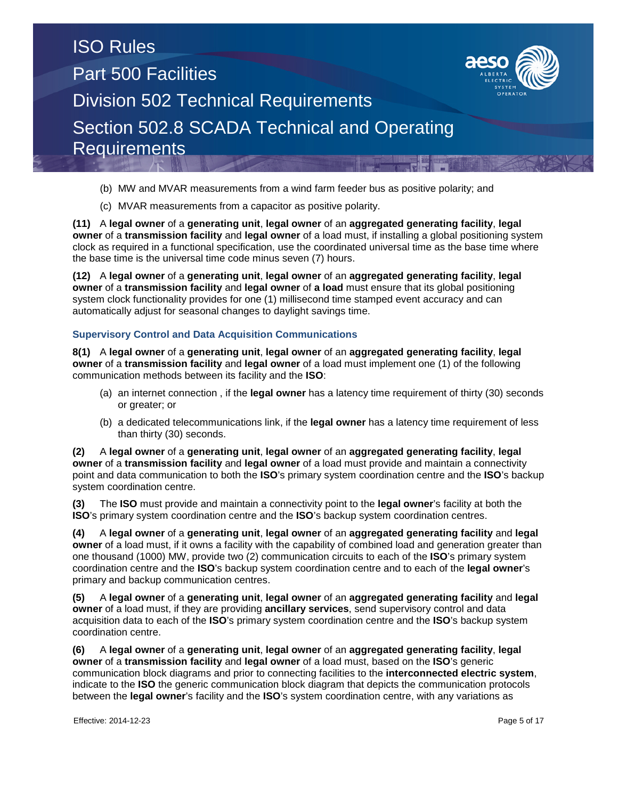

(c) MVAR measurements from a capacitor as positive polarity.

**(11)** A **legal owner** of a **generating unit**, **legal owner** of an **aggregated generating facility**, **legal owner** of a **transmission facility** and **legal owner** of a load must, if installing a global positioning system clock as required in a functional specification, use the coordinated universal time as the base time where the base time is the universal time code minus seven (7) hours.

**(12)** A **legal owner** of a **generating unit**, **legal owner** of an **aggregated generating facility**, **legal owner** of a **transmission facility** and **legal owner** of **a load** must ensure that its global positioning system clock functionality provides for one (1) millisecond time stamped event accuracy and can automatically adjust for seasonal changes to daylight savings time.

## **Supervisory Control and Data Acquisition Communications**

**8(1)** A **legal owner** of a **generating unit**, **legal owner** of an **aggregated generating facility**, **legal owner** of a **transmission facility** and **legal owner** of a load must implement one (1) of the following communication methods between its facility and the **ISO**:

- (a) an internet connection , if the **legal owner** has a latency time requirement of thirty (30) seconds or greater; or
- (b) a dedicated telecommunications link, if the **legal owner** has a latency time requirement of less than thirty (30) seconds.

**(2)** A **legal owner** of a **generating unit**, **legal owner** of an **aggregated generating facility**, **legal owner** of a **transmission facility** and **legal owner** of a load must provide and maintain a connectivity point and data communication to both the **ISO**'s primary system coordination centre and the **ISO**'s backup system coordination centre.

**(3)** The **ISO** must provide and maintain a connectivity point to the **legal owner**'s facility at both the **ISO**'s primary system coordination centre and the **ISO**'s backup system coordination centres.

**(4)** A **legal owner** of a **generating unit**, **legal owner** of an **aggregated generating facility** and **legal owner** of a load must, if it owns a facility with the capability of combined load and generation greater than one thousand (1000) MW, provide two (2) communication circuits to each of the **ISO**'s primary system coordination centre and the **ISO**'s backup system coordination centre and to each of the **legal owner**'s primary and backup communication centres.

**(5)** A **legal owner** of a **generating unit**, **legal owner** of an **aggregated generating facility** and **legal owner** of a load must, if they are providing **ancillary services**, send supervisory control and data acquisition data to each of the **ISO**'s primary system coordination centre and the **ISO**'s backup system coordination centre.

**(6)** A **legal owner** of a **generating unit**, **legal owner** of an **aggregated generating facility**, **legal owner** of a **transmission facility** and **legal owner** of a load must, based on the **ISO**'s generic communication block diagrams and prior to connecting facilities to the **interconnected electric system**, indicate to the **ISO** the generic communication block diagram that depicts the communication protocols between the **legal owner**'s facility and the **ISO**'s system coordination centre, with any variations as

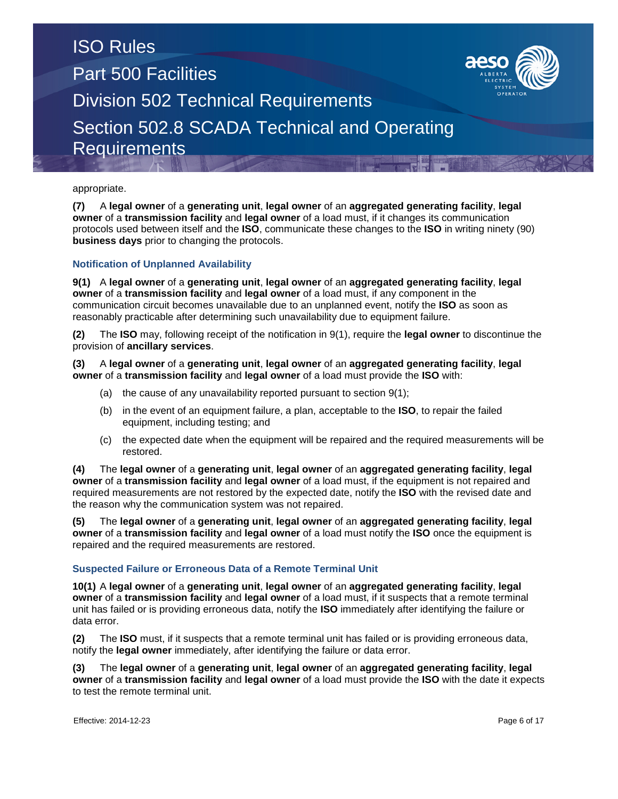

**(7)** A **legal owner** of a **generating unit**, **legal owner** of an **aggregated generating facility**, **legal owner** of a **transmission facility** and **legal owner** of a load must, if it changes its communication protocols used between itself and the **ISO**, communicate these changes to the **ISO** in writing ninety (90) **business days** prior to changing the protocols.

## **Notification of Unplanned Availability**

**9(1)** A **legal owner** of a **generating unit**, **legal owner** of an **aggregated generating facility**, **legal owner** of a **transmission facility** and **legal owner** of a load must, if any component in the communication circuit becomes unavailable due to an unplanned event, notify the **ISO** as soon as reasonably practicable after determining such unavailability due to equipment failure.

**(2)** The **ISO** may, following receipt of the notification in 9(1), require the **legal owner** to discontinue the provision of **ancillary services**.

**(3)** A **legal owner** of a **generating unit**, **legal owner** of an **aggregated generating facility**, **legal owner** of a **transmission facility** and **legal owner** of a load must provide the **ISO** with:

- (a) the cause of any unavailability reported pursuant to section 9(1);
- (b) in the event of an equipment failure, a plan, acceptable to the **ISO**, to repair the failed equipment, including testing; and
- (c) the expected date when the equipment will be repaired and the required measurements will be restored.

**(4)** The **legal owner** of a **generating unit**, **legal owner** of an **aggregated generating facility**, **legal owner** of a **transmission facility** and **legal owner** of a load must, if the equipment is not repaired and required measurements are not restored by the expected date, notify the **ISO** with the revised date and the reason why the communication system was not repaired.

**(5)** The **legal owner** of a **generating unit**, **legal owner** of an **aggregated generating facility**, **legal owner** of a **transmission facility** and **legal owner** of a load must notify the **ISO** once the equipment is repaired and the required measurements are restored.

## **Suspected Failure or Erroneous Data of a Remote Terminal Unit**

**10(1)** A **legal owner** of a **generating unit**, **legal owner** of an **aggregated generating facility**, **legal owner** of a **transmission facility** and **legal owner** of a load must, if it suspects that a remote terminal unit has failed or is providing erroneous data, notify the **ISO** immediately after identifying the failure or data error.

**(2)** The **ISO** must, if it suspects that a remote terminal unit has failed or is providing erroneous data, notify the **legal owner** immediately, after identifying the failure or data error.

**(3)** The **legal owner** of a **generating unit**, **legal owner** of an **aggregated generating facility**, **legal owner** of a **transmission facility** and **legal owner** of a load must provide the **ISO** with the date it expects to test the remote terminal unit.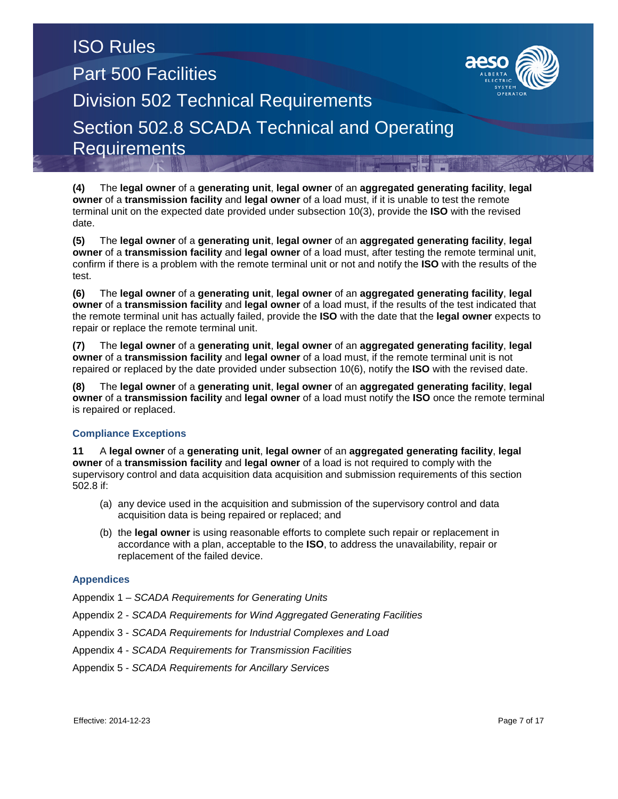

**(5)** The **legal owner** of a **generating unit**, **legal owner** of an **aggregated generating facility**, **legal owner** of a **transmission facility** and **legal owner** of a load must, after testing the remote terminal unit, confirm if there is a problem with the remote terminal unit or not and notify the **ISO** with the results of the test.

**(6)** The **legal owner** of a **generating unit**, **legal owner** of an **aggregated generating facility**, **legal owner** of a **transmission facility** and **legal owner** of a load must, if the results of the test indicated that the remote terminal unit has actually failed, provide the **ISO** with the date that the **legal owner** expects to repair or replace the remote terminal unit.

**(7)** The **legal owner** of a **generating unit**, **legal owner** of an **aggregated generating facility**, **legal owner** of a **transmission facility** and **legal owner** of a load must, if the remote terminal unit is not repaired or replaced by the date provided under subsection 10(6), notify the **ISO** with the revised date.

**(8)** The **legal owner** of a **generating unit**, **legal owner** of an **aggregated generating facility**, **legal owner** of a **transmission facility** and **legal owner** of a load must notify the **ISO** once the remote terminal is repaired or replaced.

## **Compliance Exceptions**

**11** A **legal owner** of a **generating unit**, **legal owner** of an **aggregated generating facility**, **legal owner** of a **transmission facility** and **legal owner** of a load is not required to comply with the supervisory control and data acquisition data acquisition and submission requirements of this section 502.8 if:

- (a) any device used in the acquisition and submission of the supervisory control and data acquisition data is being repaired or replaced; and
- (b) the **legal owner** is using reasonable efforts to complete such repair or replacement in accordance with a plan, acceptable to the **ISO**, to address the unavailability, repair or replacement of the failed device.

## **Appendices**

Appendix 1 – *SCADA Requirements for Generating Units*

- Appendix 2 *SCADA Requirements for Wind Aggregated Generating Facilities*
- Appendix 3 *SCADA Requirements for Industrial Complexes and Load*
- Appendix 4 *SCADA Requirements for Transmission Facilities*
- Appendix 5 *SCADA Requirements for Ancillary Services*

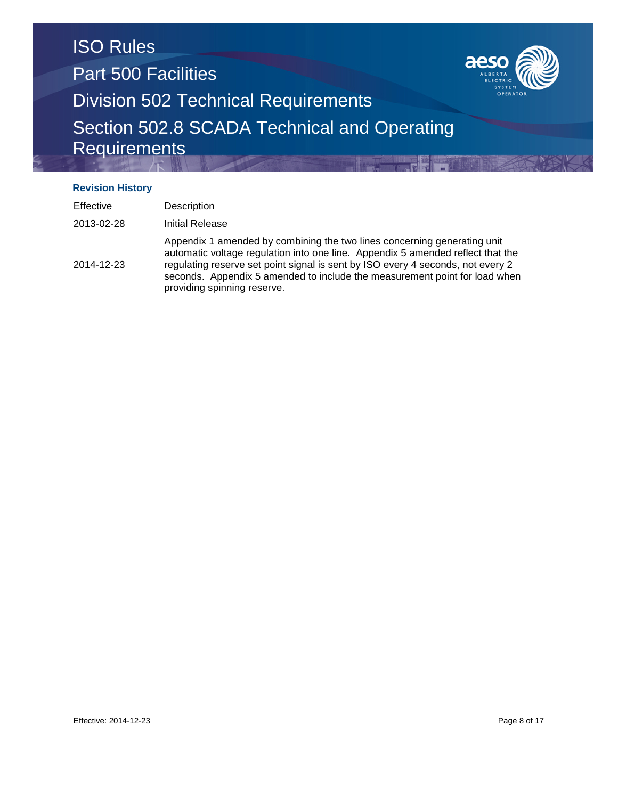

## **Revision History**

| <b>Effective</b> | Description                                                                                                                                                                                                                                                                                                                                                 |
|------------------|-------------------------------------------------------------------------------------------------------------------------------------------------------------------------------------------------------------------------------------------------------------------------------------------------------------------------------------------------------------|
| 2013-02-28       | Initial Release                                                                                                                                                                                                                                                                                                                                             |
| 2014-12-23       | Appendix 1 amended by combining the two lines concerning generating unit<br>automatic voltage regulation into one line. Appendix 5 amended reflect that the<br>regulating reserve set point signal is sent by ISO every 4 seconds, not every 2<br>seconds. Appendix 5 amended to include the measurement point for load when<br>providing spinning reserve. |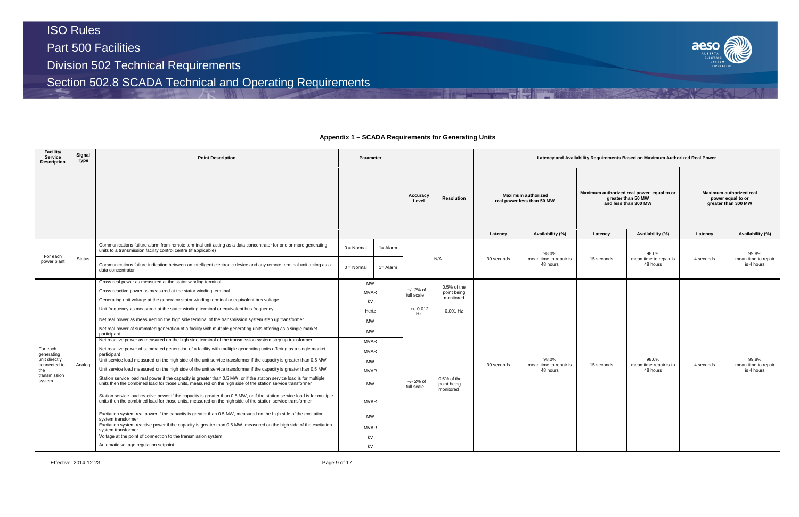# ISO Rules Part 500 Facilities Division 502 Technical Requirements

Section 502.8 SCADA Technical and Operating Requirements

#### **Facility/ Service Description Signal Type Point Description Parameter Latency and Availability Requirements Based on Maximum Authorized Real Power Accuracy Level Resolution Maximum authorized real power less than 50 MW Latency Availability (%) Latency Availability (%) Latency Availability (%)** For each Por each<br>power plant Status Communications failure alarm from remote terminal unit acting as a data concentrator for one or more generating Communications failure alarm from remote terminal unit acting as a data concentrator for one or more generating<br>units to a transmission facility control centre (if applicable) N/A 30 seconds 98.0% mean time to repair is 48 hours Communications failure indication between an intelligent electronic device and any remote terminal unit acting as a intelligent electronic device and any remote terminal unit acting as a intelligent of the strength of the For each generating unit directly connected to the transmission system Analog Gross real power as measured at the stator winding terminal MW +/- 2% of full scale 0.5% of the point being monitored 30 seconds 98.0% mean time to repair is 48 hours Gross reactive power as measured at the stator winding terminal MVAR Generating unit voltage at the generator stator winding terminal or equivalent bus voltage kV kV Unit frequency as measured at the stator winding terminal or equivalent bus frequency Hertz +/- 0.012<br>Hz 0.001 Hz Net real power as measured on the high side terminal of the transmission system step up transformer MW +/- 2% of full scale 0.5% of the point being monitored Net real power of summated generation of a facility with multiple generating units offering as a single market participant MW Net reactive power as measured on the high side terminal of the transmission system step up transformer MVAR Net reactive power of summated generation of a facility with multiple generating units offering as a single market participant MVAR Unit service load measured on the high side of the unit service transformer if the capacity is greater than 0.5 MW Unit service load measured on the high side of the unit service transformer if the capacity is greater than 0.5 MW MVAR Station service load real power if the capacity is greater than 0.5 MW, or if the station service load is for multiple units then the combined load for those units, measured on the high side of the station service transformer MW Station service load reactive power if the capacity is greater than 0.5 MW, or if the station service load is for multiple units then the combined load for those units, measured on the high side of the station service transformer MVAR Excitation system real power if the capacity is greater than 0.5 MW, measured on the high side of the excitation<br>system transformer Excitation system reactive power if the capacity is greater than 0.5 MW, measured on the high side of the excitation **MVAR**<br>system transformer Voltage at the point of connection to the transmission system **kV** and the transmission system **kV** kV Automatic voltage regulation setpoint and the contract of the contract of the contract of the contract of the contract of the contract of the contract of the contract of the contract of the contract of the contract of the

Effective: 2014-12-23 Page 9 of 17



## **Appendix 1 – SCADA Requirements for Generating Units**

| vility Requirements Based on Maximum Authorized Real Power |                                                                                         |                                                |                                            |  |  |  |  |  |  |  |
|------------------------------------------------------------|-----------------------------------------------------------------------------------------|------------------------------------------------|--------------------------------------------|--|--|--|--|--|--|--|
|                                                            | Maximum authorized real power equal to or<br>greater than 50 MW<br>and less than 300 MW | Maximum authorized real<br>greater than 300 MW | power equal to or                          |  |  |  |  |  |  |  |
| Latency                                                    | Availability (%)                                                                        | Latency                                        | Availability (%)                           |  |  |  |  |  |  |  |
| 15 seconds                                                 | 98.0%<br>mean time to repair is<br>48 hours                                             | 4 seconds                                      | 99.8%<br>mean time to repair<br>is 4 hours |  |  |  |  |  |  |  |
| 15 seconds                                                 | 98.0%<br>mean time repair is to<br>48 hours                                             | 4 seconds                                      | 99.8%<br>mean time to repair<br>is 4 hours |  |  |  |  |  |  |  |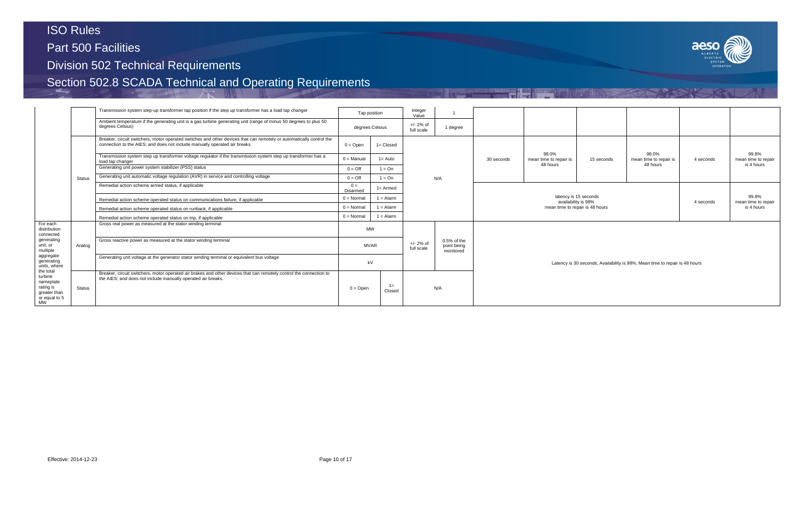Part 500 Facilities

Division 502 Technical Requirements

|                                                                                                                                         |               | Transmission system step-up transformer tap position if the step up transformer has a load tap changer                                                                                             |                     | Tap position                             | Integer<br>Value          |                                           |                                 |                                             |                       |                                                                             |           |                                            |  |
|-----------------------------------------------------------------------------------------------------------------------------------------|---------------|----------------------------------------------------------------------------------------------------------------------------------------------------------------------------------------------------|---------------------|------------------------------------------|---------------------------|-------------------------------------------|---------------------------------|---------------------------------------------|-----------------------|-----------------------------------------------------------------------------|-----------|--------------------------------------------|--|
|                                                                                                                                         |               | Ambient temperature if the generating unit is a gas turbine generating unit (range of minus 50 degrees to plus 50<br>degrees Celsius)                                                              |                     | degrees Celsius                          | $+/- 2%$ of<br>full scale | 1 degree                                  |                                 |                                             |                       |                                                                             |           |                                            |  |
|                                                                                                                                         |               | Breaker, circuit switchers, motor operated switches and other devices that can remotely or automatically control the<br>connection to the AIES; and does not include manually operated air breaks. | $0 =$ Open          | $1 = Closed$                             |                           |                                           |                                 |                                             |                       |                                                                             |           |                                            |  |
|                                                                                                                                         |               | Transmission system step up transformer voltage regulator if the transmission system step up transformer has a<br>load tap changer                                                                 | $0 =$ Manual        | $1 = Auto$                               |                           |                                           | 30 seconds                      | 98.0%<br>mean time to repair is<br>48 hours | 15 seconds            | 98.0%<br>mean time to repair is<br>48 hours                                 | 4 seconds | 99.8%<br>mean time to repair<br>is 4 hours |  |
|                                                                                                                                         |               | Generating unit power system stabilizer (PSS) status                                                                                                                                               | $0 = \text{Off}$    | $1 = On$                                 |                           |                                           |                                 |                                             |                       |                                                                             |           |                                            |  |
|                                                                                                                                         | Status        | Generating unit automatic voltage regulation (AVR) in service and controlling voltage                                                                                                              | $0 = \text{Off}$    | $1 = On$                                 |                           | N/A                                       |                                 |                                             |                       |                                                                             |           |                                            |  |
|                                                                                                                                         |               | Remedial action scheme armed status, if applicable                                                                                                                                                 | $0 =$<br>Disarmed   | $1 =$ Armed                              |                           |                                           |                                 |                                             |                       |                                                                             |           |                                            |  |
|                                                                                                                                         |               | Remedial action scheme operated status on communications failure, if applicable                                                                                                                    | $0 = \text{Normal}$ | $1 =$ Alarm                              |                           |                                           |                                 | availability is 98%                         | latency is 15 seconds |                                                                             | 4 seconds | 99.8%<br>mean time to repair               |  |
|                                                                                                                                         |               | Remedial action scheme operated status on runback, if applicable                                                                                                                                   | $0 = Normal$        | $1 =$ Alarm                              |                           |                                           | mean time to repair is 48 hours |                                             |                       |                                                                             |           |                                            |  |
|                                                                                                                                         |               | Remedial action scheme operated status on trip, if applicable                                                                                                                                      | $0 = Normal$        | $1 =$ Alarm                              |                           |                                           |                                 |                                             |                       |                                                                             |           |                                            |  |
| For each<br>distribution<br>connected                                                                                                   |               | Gross real power as measured at the stator winding terminal                                                                                                                                        |                     | <b>MW</b>                                |                           |                                           |                                 |                                             |                       |                                                                             |           |                                            |  |
| generating<br>unit, or<br>multiple                                                                                                      | Analog        | Gross reactive power as measured at the stator winding terminal                                                                                                                                    |                     | $+/- 2%$ of<br><b>MVAR</b><br>full scale |                           | $0.5%$ of the<br>point being<br>monitored |                                 |                                             |                       |                                                                             |           |                                            |  |
| aggregate<br>generating<br>units, where<br>the total<br>turbine<br>nameplate<br>rating is<br>greater than<br>or equal to 5<br><b>MW</b> |               | Generating unit voltage at the generator stator winding terminal or equivalent bus voltage                                                                                                         |                     | kV                                       |                           |                                           |                                 |                                             |                       | Latency is 30 seconds; Availability is 98%; Mean time to repair is 48 hours |           |                                            |  |
|                                                                                                                                         | <b>Status</b> | Breaker, circuit switchers, motor operated air brakes and other devices that can remotely control the connection to<br>the AIES; and does not include manually operated air breaks.                | $0 =$ Open          | $1 =$<br>Closed                          |                           | N/A                                       |                                 |                                             |                       |                                                                             |           |                                            |  |

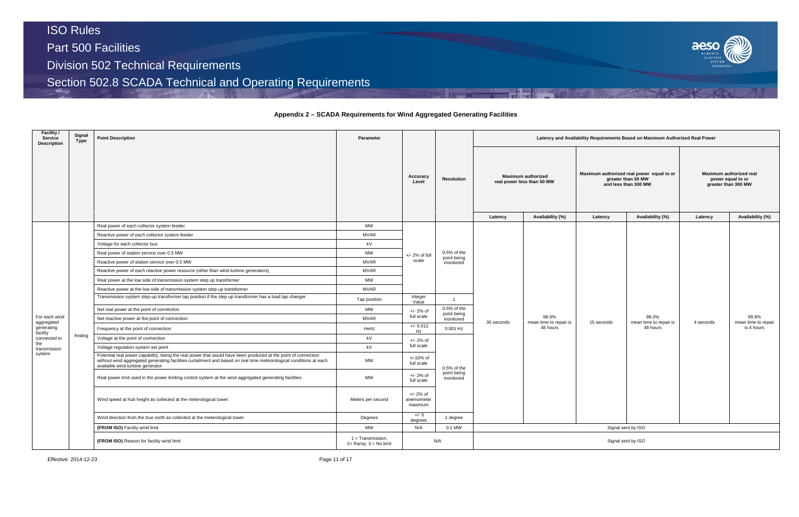## **Appendix 2 – SCADA Requirements for Wind Aggregated Generating Facilities**

| Facility /<br>Service<br><b>Description</b> | Signal<br>Type | <b>Point Description</b>                                                                                                                                                                                                                                                 | Parameter                                     |                                    |                          |                    |                                                         |            | Latency and Availability Requirements Based on Maximum Authorized Real Power            |                                                                     |                              |  |
|---------------------------------------------|----------------|--------------------------------------------------------------------------------------------------------------------------------------------------------------------------------------------------------------------------------------------------------------------------|-----------------------------------------------|------------------------------------|--------------------------|--------------------|---------------------------------------------------------|------------|-----------------------------------------------------------------------------------------|---------------------------------------------------------------------|------------------------------|--|
|                                             |                |                                                                                                                                                                                                                                                                          |                                               | Accuracy<br>Level                  | <b>Resolution</b>        |                    | <b>Maximum authorized</b><br>real power less than 50 MW |            | Maximum authorized real power equal to or<br>greater than 50 MW<br>and less than 300 MW | Maximum authorized real<br>power equal to or<br>greater than 300 MW |                              |  |
|                                             |                |                                                                                                                                                                                                                                                                          |                                               |                                    |                          | Latency            | Availability (%)                                        | Latency    | Availability (%)                                                                        | Latency                                                             | Availability (%)             |  |
|                                             |                | Real power of each collector system feeder                                                                                                                                                                                                                               | <b>MW</b>                                     |                                    |                          |                    |                                                         |            |                                                                                         |                                                                     |                              |  |
|                                             |                | Reactive power of each collector system feeder                                                                                                                                                                                                                           | <b>MVAR</b>                                   |                                    |                          |                    |                                                         |            |                                                                                         |                                                                     |                              |  |
|                                             |                | Voltage for each collector bus                                                                                                                                                                                                                                           | kV                                            | +/- 2% of full                     |                          |                    |                                                         |            |                                                                                         |                                                                     |                              |  |
|                                             |                | Real power of station service over 0.5 MW                                                                                                                                                                                                                                | <b>MW</b>                                     |                                    | $0.5%$ of the            |                    |                                                         |            |                                                                                         |                                                                     |                              |  |
|                                             |                | Reactive power of station service over 0.5 MW                                                                                                                                                                                                                            | <b>MVAR</b>                                   | scale                              | point being<br>monitored |                    |                                                         |            |                                                                                         |                                                                     |                              |  |
|                                             |                | Reactive power of each reactive power resource (other than wind turbine generators)                                                                                                                                                                                      | <b>MVAR</b>                                   |                                    |                          |                    |                                                         |            |                                                                                         |                                                                     |                              |  |
|                                             |                | Real power at the low side of transmission system step up transformer                                                                                                                                                                                                    | <b>MW</b>                                     |                                    |                          |                    |                                                         |            |                                                                                         |                                                                     |                              |  |
|                                             |                | Reactive power at the low side of transmission system step up transformer                                                                                                                                                                                                | <b>MVAR</b>                                   |                                    |                          |                    |                                                         |            |                                                                                         |                                                                     |                              |  |
|                                             |                | Transmission system step-up transformer tap position if the step up transformer has a load tap changer                                                                                                                                                                   | Tap position                                  | Integer<br>Value                   | $\overline{1}$           |                    |                                                         |            |                                                                                         |                                                                     |                              |  |
|                                             |                | Net real power at the point of connection                                                                                                                                                                                                                                | MW                                            | $+/- 2%$ of                        | $0.5%$ of the            |                    |                                                         |            |                                                                                         |                                                                     |                              |  |
| For each wind<br>aggregated                 |                | Net reactive power at the point of connection                                                                                                                                                                                                                            | <b>MVAR</b>                                   | full scale                         | point being<br>monitored | 30 seconds         | 98.0%<br>mean time to repair is                         | 15 seconds | 98.0%<br>mean time to repair is                                                         | 4 seconds                                                           | 99.8%<br>mean time to repair |  |
| generating<br>facility                      |                | Frequency at the point of connection                                                                                                                                                                                                                                     | Hertz                                         | $+/- 0.012$<br>Hz                  | 0.001 Hz                 |                    | 48 hours                                                |            | 48 hours                                                                                |                                                                     | is 4 hours                   |  |
| connected to<br>the                         | Analog         | Voltage at the point of connection                                                                                                                                                                                                                                       | kV                                            | $+/- 2%$ of                        |                          |                    |                                                         |            |                                                                                         |                                                                     |                              |  |
| transmission                                |                | Voltage regulation system set point                                                                                                                                                                                                                                      | kV                                            | full scale                         |                          |                    |                                                         |            |                                                                                         |                                                                     |                              |  |
| system                                      |                | Potential real power capability, being the real power that would have been produced at the point of connection<br>without wind aggregated generating facilities curtailment and based on real time meteorological conditions at each<br>available wind turbine generator | <b>MW</b>                                     | $+/-10%$ of<br>full scale          | $0.5%$ of the            |                    |                                                         |            |                                                                                         |                                                                     |                              |  |
|                                             |                | Real power limit used in the power limiting control system at the wind aggregated generating facilities                                                                                                                                                                  | <b>MW</b>                                     | $+/- 2%$ of<br>full scale          | point being<br>monitored |                    |                                                         |            |                                                                                         |                                                                     |                              |  |
|                                             |                | Wind speed at hub height as collected at the meterological tower                                                                                                                                                                                                         | Meters per second                             | +/- 2% of<br>anemometer<br>maximum |                          |                    |                                                         |            |                                                                                         |                                                                     |                              |  |
|                                             |                | Wind direction from the true north as collected at the meterological tower                                                                                                                                                                                               | Degrees                                       | +/- 5<br>degrees                   | 1 degree                 |                    |                                                         |            |                                                                                         |                                                                     |                              |  |
|                                             |                | (FROM ISO) Facility wind limit                                                                                                                                                                                                                                           | <b>MW</b>                                     | N/A                                | 0.1 MW                   |                    |                                                         |            | Signal sent by ISO                                                                      |                                                                     |                              |  |
|                                             |                | (FROM ISO) Reason for facility wind limit                                                                                                                                                                                                                                | 1 = Transmission,<br>$2=$ Ramp, $3=$ No limit |                                    | N/A                      | Signal sent by ISO |                                                         |            |                                                                                         |                                                                     |                              |  |

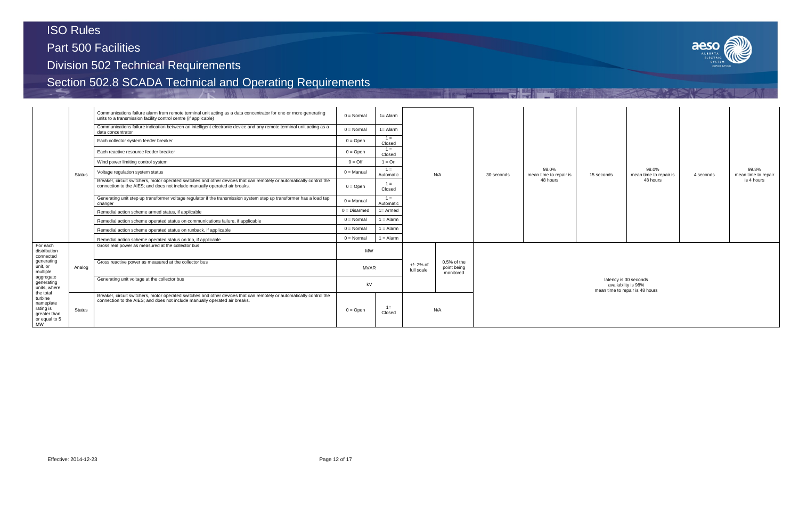Part 500 Facilities

## Division 502 Technical Requirements



|                                                                                                                                                                        |                                                                                                                                                                                                                     | Communications failure alarm from remote terminal unit acting as a data concentrator for one or more generating<br>units to a transmission facility control centre (if applicable)                 | $0 = \text{Normal}$ | $1 =$ Alarm        |                           |                                         |            |                                 |  |
|------------------------------------------------------------------------------------------------------------------------------------------------------------------------|---------------------------------------------------------------------------------------------------------------------------------------------------------------------------------------------------------------------|----------------------------------------------------------------------------------------------------------------------------------------------------------------------------------------------------|---------------------|--------------------|---------------------------|-----------------------------------------|------------|---------------------------------|--|
|                                                                                                                                                                        |                                                                                                                                                                                                                     | Communications failure indication between an intelligent electronic device and any remote terminal unit acting as a<br>data concentrator                                                           | $0 = \text{Normal}$ | $1 =$ Alarm        |                           |                                         |            |                                 |  |
|                                                                                                                                                                        |                                                                                                                                                                                                                     | Each collector system feeder breaker                                                                                                                                                               | $0 = Open$          | $1 =$<br>Closed    |                           |                                         |            |                                 |  |
|                                                                                                                                                                        |                                                                                                                                                                                                                     | Each reactive resource feeder breaker                                                                                                                                                              | $0 = Open$          | $1 =$<br>Closed    |                           |                                         |            |                                 |  |
|                                                                                                                                                                        |                                                                                                                                                                                                                     | Wind power limiting control system                                                                                                                                                                 | $0 = \text{Off}$    | $1 = On$           |                           |                                         |            |                                 |  |
|                                                                                                                                                                        | Status                                                                                                                                                                                                              | Voltage regulation system status                                                                                                                                                                   |                     | $1 =$<br>Automatic | N/A                       |                                         | 30 seconds | 98.0%<br>mean time to repair is |  |
|                                                                                                                                                                        |                                                                                                                                                                                                                     | Breaker, circuit switchers, motor operated switches and other devices that can remotely or automatically control the<br>connection to the AIES; and does not include manually operated air breaks. | $0 = Open$          | $1 =$<br>Closed    |                           |                                         |            | 48 hours                        |  |
|                                                                                                                                                                        |                                                                                                                                                                                                                     | Generating unit step up transformer voltage regulator if the transmission system step up transformer has a load tap<br>changer                                                                     | $0 =$ Manual        | $1 =$<br>Automatic |                           |                                         |            |                                 |  |
|                                                                                                                                                                        |                                                                                                                                                                                                                     | Remedial action scheme armed status, if applicable                                                                                                                                                 | $0 = Disarmed$      | $1 =$ Armed        |                           |                                         |            |                                 |  |
|                                                                                                                                                                        |                                                                                                                                                                                                                     | Remedial action scheme operated status on communications failure, if applicable                                                                                                                    | $0 = Normal$        | $1 =$ Alarm        |                           |                                         |            |                                 |  |
|                                                                                                                                                                        |                                                                                                                                                                                                                     | Remedial action scheme operated status on runback, if applicable                                                                                                                                   | $0 = \text{Normal}$ | $1 =$ Alarm        |                           |                                         |            |                                 |  |
|                                                                                                                                                                        |                                                                                                                                                                                                                     | Remedial action scheme operated status on trip, if applicable                                                                                                                                      |                     | $1 =$ Alarm        |                           |                                         |            |                                 |  |
| For each<br>distribution<br>connected                                                                                                                                  |                                                                                                                                                                                                                     | Gross real power as measured at the collector bus                                                                                                                                                  | <b>MW</b>           |                    |                           |                                         |            |                                 |  |
| generating<br>unit, or<br>multiple<br>aggregate<br>generating<br>units, where<br>the total<br>turbine<br>nameplate<br>rating is<br>greater than<br>or equal to 5<br>MW | Analog                                                                                                                                                                                                              | Gross reactive power as measured at the collector bus                                                                                                                                              | <b>MVAR</b>         |                    | $+/- 2%$ of<br>full scale | 0.5% of the<br>point being<br>monitored |            |                                 |  |
|                                                                                                                                                                        |                                                                                                                                                                                                                     | Generating unit voltage at the collector bus                                                                                                                                                       | kV                  |                    |                           |                                         |            |                                 |  |
|                                                                                                                                                                        | Breaker, circuit switchers, motor operated switches and other devices that can remotely or automatically control the<br>connection to the AIES; and does not include manually operated air breaks.<br><b>Status</b> |                                                                                                                                                                                                    | $0 = Open$          | $1 =$<br>Closed    |                           | N/A                                     |            |                                 |  |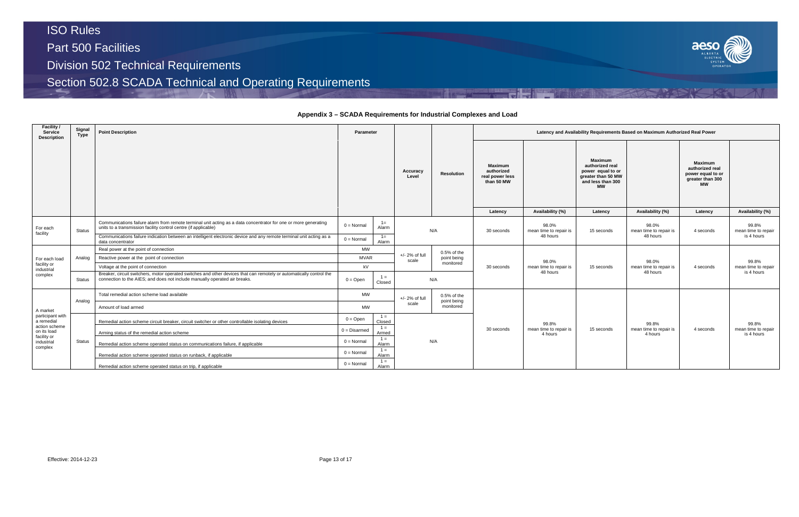## **Appendix 3 – SCADA Requirements for Industrial Complexes and Load**

| <b>Facility /</b><br>Service<br><b>Description</b> | Signal<br>Type | <b>Point Description</b>                                                                                                                                                                           | <b>Parameter</b>  |                 |                           |                          |            |                                    |                                                               | Latency and Availability Requirements Based on Maximum Authorized Real Power |                                                                                                         |                                   |                                                                                         |  |
|----------------------------------------------------|----------------|----------------------------------------------------------------------------------------------------------------------------------------------------------------------------------------------------|-------------------|-----------------|---------------------------|--------------------------|------------|------------------------------------|---------------------------------------------------------------|------------------------------------------------------------------------------|---------------------------------------------------------------------------------------------------------|-----------------------------------|-----------------------------------------------------------------------------------------|--|
|                                                    |                |                                                                                                                                                                                                    |                   |                 |                           |                          |            | Resolution                         | <b>Maximum</b><br>authorized<br>real power less<br>than 50 MW |                                                                              | Maximum<br>authorized real<br>power equal to or<br>greater than 50 MW<br>and less than 300<br><b>MW</b> |                                   | <b>Maximum</b><br>authorized real<br>power equal to or<br>greater than 300<br><b>MW</b> |  |
|                                                    |                | Communications failure alarm from remote terminal unit acting as a data concentrator for one or more generating                                                                                    |                   | $1 =$           |                           |                          | Latency    | Availability (%)                   | Latency                                                       | Availability (%)                                                             | Latency                                                                                                 | Availability (%)                  |                                                                                         |  |
| For each<br>facility                               | <b>Status</b>  | units to a transmission facility control centre (if applicable)                                                                                                                                    | $0 = Normal$      | Alarm           |                           | N/A                      | 30 seconds | 98.0%<br>mean time to repair is    | 15 seconds                                                    | 98.0%<br>mean time to repair is                                              | 4 seconds                                                                                               | 99.8%<br>mean time to repair      |                                                                                         |  |
|                                                    |                | Communications failure indication between an intelligent electronic device and any remote terminal unit acting as a<br>data concentrator                                                           | $0 = Normal$      | $1 =$<br>Alarm  |                           |                          |            | 48 hours                           |                                                               | 48 hours                                                                     |                                                                                                         | is 4 hours                        |                                                                                         |  |
|                                                    |                | Real power at the point of connection                                                                                                                                                              | <b>MW</b>         |                 |                           | $0.5%$ of the            |            |                                    |                                                               |                                                                              |                                                                                                         |                                   |                                                                                         |  |
| For each load                                      | Analog         | Reactive power at the point of connection                                                                                                                                                          | <b>MVAR</b>       |                 | $+/- 2%$ of full<br>scale | point being              |            | 98.0%                              |                                                               | 98.0%                                                                        |                                                                                                         | 99.8%                             |                                                                                         |  |
| facility or<br>industrial                          |                | Voltage at the point of connection                                                                                                                                                                 | kV                |                 |                           | monitored                | 30 seconds | mean time to repair is<br>48 hours | 15 seconds                                                    | mean time to repair is<br>48 hours                                           | 4 seconds                                                                                               | mean time to repair               |                                                                                         |  |
| complex                                            | <b>Status</b>  | Breaker, circuit switchers, motor operated switches and other devices that can remotely or automatically control the<br>connection to the AIES; and does not include manually operated air breaks. | $0 = \text{Open}$ | $1 =$<br>Closed |                           | N/A                      |            |                                    |                                                               |                                                                              |                                                                                                         | is 4 hours                        |                                                                                         |  |
|                                                    |                | Total remedial action scheme load available                                                                                                                                                        | <b>MW</b>         |                 | $+/- 2%$ of full          | $0.5%$ of the            |            |                                    |                                                               |                                                                              |                                                                                                         |                                   |                                                                                         |  |
| A market                                           | Analog         | Amount of load armed                                                                                                                                                                               | <b>MW</b>         |                 | scale                     | point being<br>monitored |            |                                    |                                                               |                                                                              |                                                                                                         |                                   |                                                                                         |  |
| participant with<br>a remedial                     |                | Remedial action scheme circuit breaker, circuit switcher or other controllable isolating devices                                                                                                   | $0 =$ Open        | $1 =$<br>Closed |                           |                          |            | 99.8%                              |                                                               | 99.8%                                                                        |                                                                                                         | 99.8%                             |                                                                                         |  |
| action scheme<br>on its load                       |                | Arming status of the remedial action scheme                                                                                                                                                        | $0 = Disarmed$    | $1 =$<br>Armed  |                           |                          | 30 seconds | mean time to repair is<br>4 hours  | 15 seconds                                                    | mean time to repair is<br>4 hours                                            | 4 seconds                                                                                               | mean time to repair<br>is 4 hours |                                                                                         |  |
| facility or<br>industrial<br>complex               | Status         | Remedial action scheme operated status on communications failure, if applicable                                                                                                                    | $0 = Normal$      | $1 =$<br>Alarm  |                           | N/A                      |            |                                    |                                                               |                                                                              |                                                                                                         |                                   |                                                                                         |  |
|                                                    |                | Remedial action scheme operated status on runback, if applicable                                                                                                                                   | $0 = Normal$      | $1 =$<br>Alarm  |                           |                          |            |                                    |                                                               |                                                                              |                                                                                                         |                                   |                                                                                         |  |
|                                                    |                | Remedial action scheme operated status on trip, if applicable                                                                                                                                      | $0 = Normal$      | $1 =$<br>Alarm  |                           |                          |            |                                    |                                                               |                                                                              |                                                                                                         |                                   |                                                                                         |  |

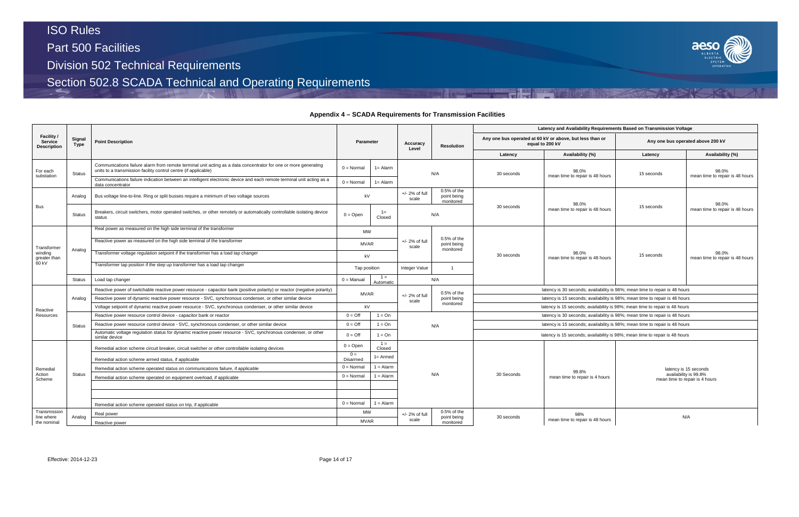Part 500 Facilities

Division 502 Technical Requirements

Section 502.8 SCADA Technical and Operating Requirements

## **Appendix 4 – SCADA Requirements for Transmission Facilities**



|                                                    |                |                                                                                                                                                                                    |                                 |                    |                                           |                            |                                                                             | Latency and Availability Requirements Based on Transmission Voltage         |            |                                                         |  |  |
|----------------------------------------------------|----------------|------------------------------------------------------------------------------------------------------------------------------------------------------------------------------------|---------------------------------|--------------------|-------------------------------------------|----------------------------|-----------------------------------------------------------------------------|-----------------------------------------------------------------------------|------------|---------------------------------------------------------|--|--|
| Facility /<br><b>Service</b><br><b>Description</b> | Signal<br>Type | <b>Point Description</b>                                                                                                                                                           | <b>Parameter</b>                |                    | Accuracy<br>Level                         | <b>Resolution</b>          |                                                                             | Any one bus operated at 60 kV or above, but less than or<br>equal to 200 kV |            | Any one bus operated above 200 kV                       |  |  |
|                                                    |                |                                                                                                                                                                                    |                                 |                    |                                           |                            | Latency                                                                     | Availability (%)                                                            | Latency    | Availability (%)                                        |  |  |
| For each                                           | <b>Status</b>  | Communications failure alarm from remote terminal unit acting as a data concentrator for one or more generating<br>units to a transmission facility control centre (if applicable) | $0 = Normal$                    | $1 =$ Alarm        |                                           | N/A                        | 30 seconds                                                                  | 98.0%                                                                       | 15 seconds | 98.0%<br>mean time to repair is 48 hours                |  |  |
| substation                                         |                | Communications failure indication between an intelligent electronic device and each remote terminal unit acting as a<br>data concentrator                                          | $0 = Normal$                    | $1 =$ Alarm        |                                           |                            |                                                                             | mean time to repair is 48 hours                                             |            |                                                         |  |  |
|                                                    | Analog         | Bus voltage line-to-line. Ring or split busses require a minimum of two voltage sources                                                                                            | $+/- 2%$ of full<br>kV<br>scale |                    | $0.5%$ of the<br>point being<br>monitored |                            | 98.0%                                                                       |                                                                             | 98.0%      |                                                         |  |  |
| <b>Bus</b>                                         | <b>Status</b>  | Breakers, circuit switchers, motor operated switches, or other remotely or automatically controllable isolating device<br>status                                                   | $0 =$ Open                      | $1 =$<br>Closed    |                                           | N/A                        | 30 seconds                                                                  | mean time to repair is 48 hours                                             | 15 seconds | mean time to repair is 48 hours                         |  |  |
|                                                    |                | Real power as measured on the high side terminal of the transformer                                                                                                                | <b>MW</b>                       |                    |                                           |                            |                                                                             |                                                                             |            |                                                         |  |  |
| Transformer                                        |                | Reactive power as measured on the high side terminal of the transformer                                                                                                            | <b>MVAR</b>                     |                    | $+/- 2%$ of full<br>scale                 | 0.5% of the<br>point being |                                                                             |                                                                             |            |                                                         |  |  |
| windina<br>greater than<br>60 kV                   | Analog         | Transformer voltage regulation setpoint if the transformer has a load tap changer                                                                                                  | kV                              |                    |                                           | monitored                  | 30 seconds                                                                  | 98.0%<br>mean time to repair is 48 hours                                    | 15 seconds | 98.0%<br>mean time to repair is 48 hours                |  |  |
|                                                    |                | Transformer tap position if the step up transformer has a load tap changer                                                                                                         | Tap position                    |                    | Integer Value                             | $\overline{1}$             |                                                                             |                                                                             |            |                                                         |  |  |
|                                                    | Status         | Load tap changer                                                                                                                                                                   | $0 =$ Manual                    | $1 =$<br>Automatic |                                           | N/A                        |                                                                             |                                                                             |            |                                                         |  |  |
|                                                    |                | Reactive power of switchable reactive power resource - capacitor bank (positive polarity) or reactor (negative polarity)                                                           | <b>MVAR</b>                     |                    |                                           | $0.5%$ of the              |                                                                             | latency is 30 seconds; availability is 98%; mean time to repair is 48 hours |            |                                                         |  |  |
|                                                    | Analog         | Reactive power of dynamic reactive power resource - SVC, synchronous condenser, or other similar device                                                                            |                                 |                    | $+/- 2\%$ of full<br>scale                | point being                | latency is 15 seconds; availability is 98%; mean time to repair is 48 hours |                                                                             |            |                                                         |  |  |
| Reactive                                           |                | Voltage setpoint of dynamic reactive power resource - SVC, synchronous condenser, or other similar device                                                                          | kV                              |                    |                                           | monitored                  | latency is 15 seconds; availability is 98%; mean time to repair is 48 hours |                                                                             |            |                                                         |  |  |
| Resources                                          |                | Reactive power resource control device - capacitor bank or reactor                                                                                                                 | $0 = \text{Off}$                | $1 = On$           |                                           |                            |                                                                             | latency is 30 seconds; availability is 98%; mean time to repair is 48 hours |            |                                                         |  |  |
|                                                    | <b>Status</b>  | Reactive power resource control device - SVC, synchronous condenser, or other similar device                                                                                       | $0 = \text{Off}$                | $1 = On$           |                                           | N/A                        |                                                                             | latency is 15 seconds; availability is 98%; mean time to repair is 48 hours |            |                                                         |  |  |
|                                                    |                | Automatic voltage regulation status for dynamic reactive power resource - SVC, synchronous condenser, or other<br>similar device                                                   | $0 = \text{Off}$                | $1 = On$           |                                           |                            |                                                                             | latency is 15 seconds; availability is 98%; mean time to repair is 48 hours |            |                                                         |  |  |
|                                                    |                | Remedial action scheme circuit breaker, circuit switcher or other controllable isolating devices                                                                                   | $0 =$ Open                      | $1 =$<br>Closed    |                                           |                            |                                                                             |                                                                             |            |                                                         |  |  |
|                                                    |                | Remedial action scheme armed status, if applicable                                                                                                                                 | $0 =$<br>Disarmed               | $1 =$ Armed        |                                           |                            |                                                                             |                                                                             |            |                                                         |  |  |
| Remedial                                           |                | Remedial action scheme operated status on communications failure, if applicable                                                                                                    | $0 = \text{Normal}$             | $1 =$ Alarm        |                                           |                            |                                                                             |                                                                             |            | latency is 15 seconds                                   |  |  |
| Action<br>Scheme                                   | <b>Status</b>  | Remedial action scheme operated on equipment overload, if applicable                                                                                                               | $0 = \text{Normal}$             | $1 =$ Alarm        |                                           | N/A                        | 30 Seconds                                                                  | 99.8%<br>mean time to repair is 4 hours                                     |            | availability is 99.8%<br>mean time to repair is 4 hours |  |  |
|                                                    |                |                                                                                                                                                                                    |                                 |                    |                                           |                            |                                                                             |                                                                             |            |                                                         |  |  |
|                                                    |                |                                                                                                                                                                                    |                                 |                    |                                           |                            |                                                                             |                                                                             |            |                                                         |  |  |
|                                                    |                | Remedial action scheme operated status on trip, if applicable                                                                                                                      | $0 = Normal$                    | $1 =$ Alarm        |                                           |                            |                                                                             |                                                                             |            |                                                         |  |  |
| Transmission                                       |                | Real power                                                                                                                                                                         | <b>MW</b>                       |                    | $+/- 2%$ of full                          | 0.5% of the<br>point being | 30 seconds                                                                  | 98%                                                                         |            | N/A                                                     |  |  |
| Analog<br>line where<br>the nominal                | Reactive power | <b>MVAR</b>                                                                                                                                                                        |                                 | scale              | monitored                                 |                            | mean time to repair is 48 hours                                             |                                                                             |            |                                                         |  |  |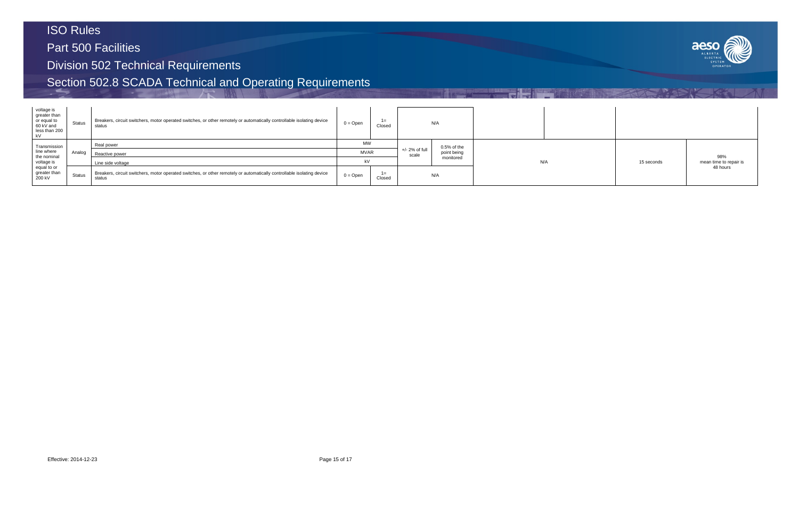Part 500 Facilities

Division 502 Technical Requirements

| voltage is<br>greater than<br>or equal to<br>60 kV and<br>less than 200<br>kV | <b>Status</b>     | Breakers, circuit switchers, motor operated switches, or other remotely or automatically controllable isolating device<br>status | $0 = Open$ | $1 =$<br>Closed |                   | N/A           |  |     |
|-------------------------------------------------------------------------------|-------------------|----------------------------------------------------------------------------------------------------------------------------------|------------|-----------------|-------------------|---------------|--|-----|
| Transmission                                                                  |                   | Real power                                                                                                                       | <b>MW</b>  |                 | $+/- 2\%$ of full | $0.5%$ of the |  |     |
| line where                                                                    | Analog            | Reactive power                                                                                                                   |            | <b>MVAR</b>     |                   | point being   |  |     |
| the nominal<br>voltage is<br>equal to or<br>greater than<br>200 kV            | Line side voltage |                                                                                                                                  | kV         |                 |                   | monitored     |  | N/A |
|                                                                               | Status            | Breakers, circuit switchers, motor operated switches, or other remotely or automatically controllable isolating device<br>status | $0 =$ Open | $1 =$<br>Closed |                   | N/A           |  |     |

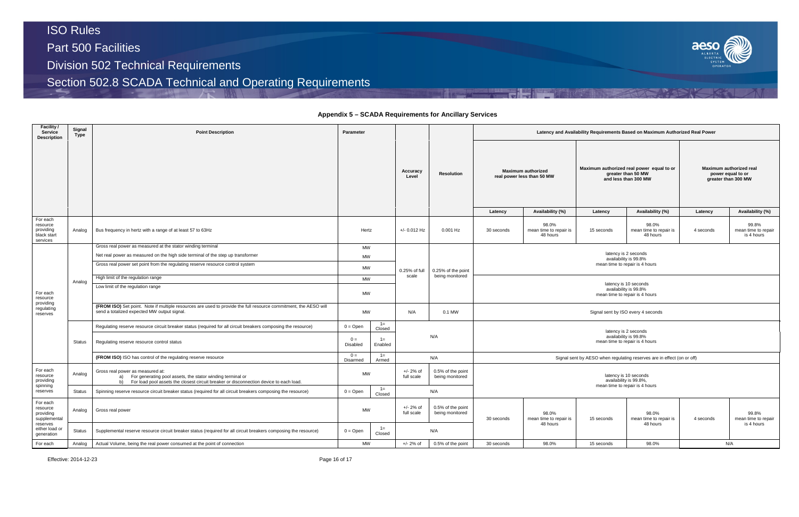## **Appendix 5 – SCADA Requirements for Ancillary Services**

| Latency and Availability Requirements Based on Maximum Authorized Real Power |                                                                                   |                                                                                 |                                                                                         |                                                                     |                                            |  |  |  |  |  |
|------------------------------------------------------------------------------|-----------------------------------------------------------------------------------|---------------------------------------------------------------------------------|-----------------------------------------------------------------------------------------|---------------------------------------------------------------------|--------------------------------------------|--|--|--|--|--|
|                                                                              | <b>Maximum authorized</b><br>real power less than 50 MW                           |                                                                                 | Maximum authorized real power equal to or<br>greater than 50 MW<br>and less than 300 MW | Maximum authorized real<br>power equal to or<br>greater than 300 MW |                                            |  |  |  |  |  |
| Latency                                                                      | Availability (%)                                                                  | Latency                                                                         | Availability (%)                                                                        | Latency                                                             | Availability (%)                           |  |  |  |  |  |
| 0 seconds                                                                    | 98.0%<br>mean time to repair is<br>48 hours                                       | 15 seconds                                                                      | 98.0%<br>mean time to repair is<br>48 hours                                             | 4 seconds                                                           | 99.8%<br>mean time to repair<br>is 4 hours |  |  |  |  |  |
|                                                                              |                                                                                   | latency is 2 seconds<br>availability is 99.8%<br>mean time to repair is 4 hours |                                                                                         |                                                                     |                                            |  |  |  |  |  |
|                                                                              |                                                                                   | availability is 99.8%<br>mean time to repair is 4 hours                         | latency is 10 seconds                                                                   |                                                                     |                                            |  |  |  |  |  |
|                                                                              |                                                                                   | Signal sent by ISO every 4 seconds                                              |                                                                                         |                                                                     |                                            |  |  |  |  |  |
|                                                                              |                                                                                   | latency is 2 seconds<br>availability is 99.8%<br>mean time to repair is 4 hours |                                                                                         |                                                                     |                                            |  |  |  |  |  |
|                                                                              |                                                                                   |                                                                                 | Signal sent by AESO when regulating reserves are in effect (on or off)                  |                                                                     |                                            |  |  |  |  |  |
|                                                                              | latency is 10 seconds<br>availability is 99.8%,<br>mean time to repair is 4 hours |                                                                                 |                                                                                         |                                                                     |                                            |  |  |  |  |  |
| 0 seconds                                                                    | 98.0%<br>mean time to repair is<br>48 hours                                       | 4 seconds                                                                       | 99.8%<br>mean time to repair<br>is 4 hours                                              |                                                                     |                                            |  |  |  |  |  |
| 0 seconds                                                                    | 98.0%<br>98.0%<br>N/A<br>15 seconds                                               |                                                                                 |                                                                                         |                                                                     |                                            |  |  |  |  |  |

| Facility /<br><b>Service</b><br><b>Description</b>           | Signal<br>Type | <b>Point Description</b>                                                                                                                                                                       | Parameter                     |                  |                           |                                      |                                                                                 |                                             |                   | Latency and Availability Requirements Based on Maximum Authorized Real Power     |           |                                                         |  |                                                                                         |                                           |  |
|--------------------------------------------------------------|----------------|------------------------------------------------------------------------------------------------------------------------------------------------------------------------------------------------|-------------------------------|------------------|---------------------------|--------------------------------------|---------------------------------------------------------------------------------|---------------------------------------------|-------------------|----------------------------------------------------------------------------------|-----------|---------------------------------------------------------|--|-----------------------------------------------------------------------------------------|-------------------------------------------|--|
|                                                              |                |                                                                                                                                                                                                |                               |                  |                           |                                      |                                                                                 |                                             | Accuracy<br>Level | <b>Resolution</b>                                                                |           | <b>Maximum authorized</b><br>real power less than 50 MW |  | Maximum authorized real power equal to or<br>greater than 50 MW<br>and less than 300 MW | Maximum auth<br>power equ<br>greater than |  |
|                                                              |                |                                                                                                                                                                                                |                               |                  |                           |                                      | Latency                                                                         | Availability (%)                            | Latency           | Availability (%)                                                                 | Latency   |                                                         |  |                                                                                         |                                           |  |
| For each<br>resource<br>providing<br>black start<br>services | Analog         | Bus frequency in hertz with a range of at least 57 to 63Hz                                                                                                                                     |                               | Hertz            |                           | $0.001$ Hz                           | 30 seconds                                                                      | 98.0%<br>mean time to repair is<br>48 hours | 15 seconds        | 98.0%<br>mean time to repair is<br>48 hours                                      | 4 seconds |                                                         |  |                                                                                         |                                           |  |
|                                                              |                | Gross real power as measured at the stator winding terminal                                                                                                                                    | MW                            |                  |                           |                                      |                                                                                 |                                             |                   |                                                                                  |           |                                                         |  |                                                                                         |                                           |  |
|                                                              |                | Net real power as measured on the high side terminal of the step up transformer                                                                                                                | <b>MW</b>                     |                  |                           |                                      | latency is 2 seconds<br>availability is 99.8%                                   |                                             |                   |                                                                                  |           |                                                         |  |                                                                                         |                                           |  |
|                                                              |                | Gross real power set point from the regulating reserve resource control system                                                                                                                 | MW                            |                  | 0.25% of full             | 0.25% of the point                   |                                                                                 |                                             |                   | mean time to repair is 4 hours                                                   |           |                                                         |  |                                                                                         |                                           |  |
| For each<br>resource                                         |                | High limit of the regulation range                                                                                                                                                             | <b>MW</b>                     |                  | scale                     | being monitored                      |                                                                                 |                                             |                   |                                                                                  |           |                                                         |  |                                                                                         |                                           |  |
|                                                              | Analog         | Low limit of the regulation range                                                                                                                                                              | <b>MW</b>                     |                  |                           |                                      |                                                                                 |                                             |                   | latency is 10 seconds<br>availability is 99.8%<br>mean time to repair is 4 hours |           |                                                         |  |                                                                                         |                                           |  |
| providing<br>regulating<br>reserves                          |                | (FROM ISO) Set point. Note if multiple resources are used to provide the full resource commitment, the AESO will<br>send a totalized expected MW output signal.                                | <b>MW</b>                     |                  | N/A                       | 0.1 MW                               | Signal sent by ISO every 4 seconds                                              |                                             |                   |                                                                                  |           |                                                         |  |                                                                                         |                                           |  |
|                                                              |                | Regulating reserve resource circuit breaker status (required for all circuit breakers composing the resource)                                                                                  | $0 = Open$                    | $1 =$<br>Closed  |                           |                                      |                                                                                 |                                             |                   |                                                                                  |           |                                                         |  |                                                                                         |                                           |  |
|                                                              | Status         | Regulating reserve resource control status                                                                                                                                                     | $0 =$<br>Disabled             | $1 =$<br>Enabled |                           | N/A                                  | latency is 2 seconds<br>availability is 99.8%<br>mean time to repair is 4 hours |                                             |                   |                                                                                  |           |                                                         |  |                                                                                         |                                           |  |
|                                                              |                | (FROM ISO) ISO has control of the regulating reserve resource                                                                                                                                  | $0 =$<br>Disarmed             | $1 =$<br>Armed   |                           | N/A                                  |                                                                                 |                                             |                   | Signal sent by AESO when regulating reserves are in effect (on or off)           |           |                                                         |  |                                                                                         |                                           |  |
| For each<br>resource<br>providing                            | Analog         | Gross real power as measured at:<br>a) For generating pool assets, the stator winding terminal or<br>b) For load pool assets the closest circuit breaker or disconnection device to each load. | <b>MW</b>                     |                  | $+/- 2%$ of<br>full scale | 0.5% of the point<br>being monitored |                                                                                 |                                             |                   | latency is 10 seconds<br>availability is 99.8%,                                  |           |                                                         |  |                                                                                         |                                           |  |
| spinning<br>reserves                                         | <b>Status</b>  | Spinning reserve resource circuit breaker status (required for all circuit breakers composing the resource)                                                                                    | $0 = Open$                    | $1 =$<br>Closed  |                           | N/A                                  |                                                                                 |                                             |                   | mean time to repair is 4 hours                                                   |           |                                                         |  |                                                                                         |                                           |  |
| For each<br>resource<br>providing<br>supplemental            | Analog         | Gross real power                                                                                                                                                                               | <b>MW</b>                     |                  | $+/- 2%$ of<br>full scale | 0.5% of the point<br>being monitored | 30 seconds                                                                      | 98.0%<br>mean time to repair is             | 15 seconds        | 98.0%<br>mean time to repair is                                                  | 4 seconds |                                                         |  |                                                                                         |                                           |  |
| reserves<br>either load or<br>generation                     | <b>Status</b>  | Supplemental reserve resource circuit breaker status (required for all circuit breakers composing the resource)                                                                                | $1 =$<br>$0 = Open$<br>Closed |                  |                           | N/A                                  |                                                                                 | 48 hours                                    |                   | 48 hours                                                                         |           |                                                         |  |                                                                                         |                                           |  |
| For each                                                     | Analog         | Actual Volume, being the real power consumed at the point of connection                                                                                                                        | MW                            |                  | $+/- 2%$ of               | 0.5% of the point                    | 30 seconds                                                                      | 98.0%                                       | 15 seconds        | 98.0%                                                                            | N/A       |                                                         |  |                                                                                         |                                           |  |